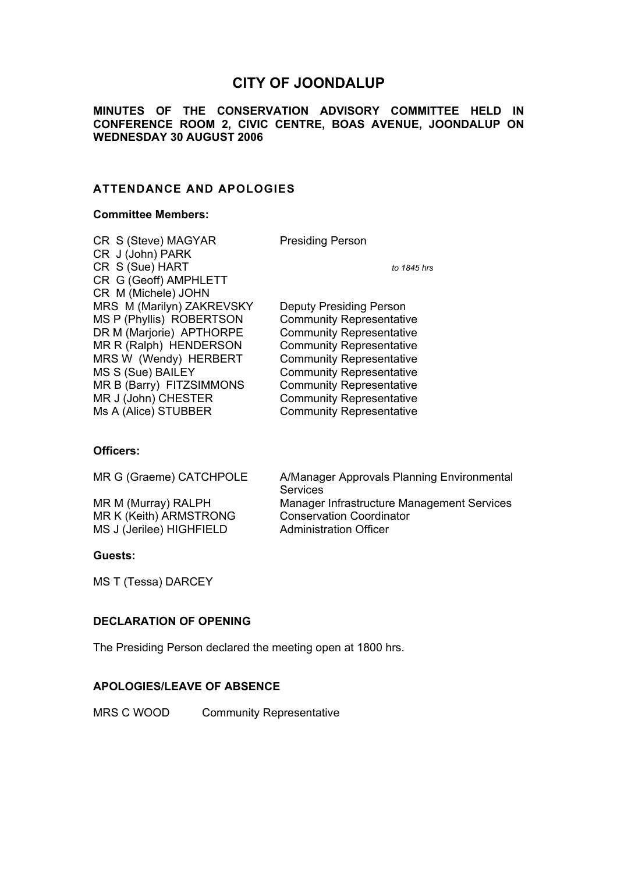# **CITY OF JOONDALUP**

**MINUTES OF THE CONSERVATION ADVISORY COMMITTEE HELD IN CONFERENCE ROOM 2, CIVIC CENTRE, BOAS AVENUE, JOONDALUP ON WEDNESDAY 30 AUGUST 2006** 

# **ATTENDANCE AND APOLOGIES**

# **Committee Members:**

| CR S (Steve) MAGYAR       | <b>Presiding Person</b>         |
|---------------------------|---------------------------------|
| CR J (John) PARK          |                                 |
| CR S (Sue) HART           | to 1845 hrs                     |
| CR G (Geoff) AMPHLETT     |                                 |
| CR M (Michele) JOHN       |                                 |
| MRS M (Marilyn) ZAKREVSKY | Deputy Presiding Person         |
| MS P (Phyllis) ROBERTSON  | <b>Community Representative</b> |
| DR M (Marjorie) APTHORPE  | <b>Community Representative</b> |
| MR R (Ralph) HENDERSON    | <b>Community Representative</b> |
| MRS W (Wendy) HERBERT     | <b>Community Representative</b> |
| MS S (Sue) BAILEY         | <b>Community Representative</b> |
| MR B (Barry) FITZSIMMONS  | <b>Community Representative</b> |
| MR J (John) CHESTER       | <b>Community Representative</b> |
| Ms A (Alice) STUBBER      | <b>Community Representative</b> |

# **Officers:**

| MR G (Graeme) CATCHPOLE  | A/Manager Approvals Planning Environmental<br><b>Services</b> |
|--------------------------|---------------------------------------------------------------|
| MR M (Murray) RALPH      | Manager Infrastructure Management Services                    |
| MR K (Keith) ARMSTRONG   | <b>Conservation Coordinator</b>                               |
| MS J (Jerilee) HIGHFIELD | <b>Administration Officer</b>                                 |

#### **Guests:**

MS T (Tessa) DARCEY

# **DECLARATION OF OPENING**

The Presiding Person declared the meeting open at 1800 hrs.

# **APOLOGIES/LEAVE OF ABSENCE**

MRS C WOOD Community Representative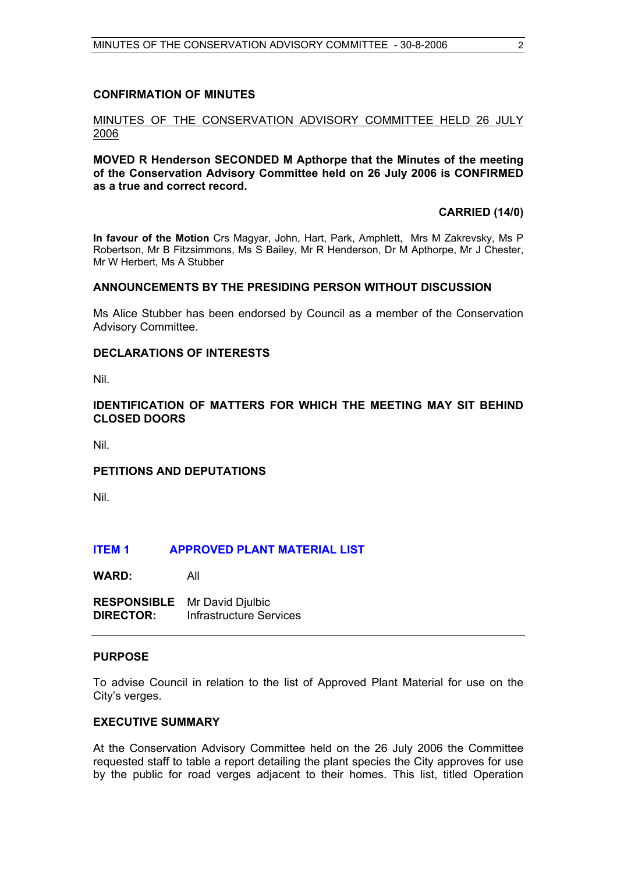# **CONFIRMATION OF MINUTES**

#### MINUTES OF THE CONSERVATION ADVISORY COMMITTEE HELD 26 JULY 2006

#### **MOVED R Henderson SECONDED M Apthorpe that the Minutes of the meeting of the Conservation Advisory Committee held on 26 July 2006 is CONFIRMED as a true and correct record.**

#### **CARRIED (14/0)**

**In favour of the Motion** Crs Magyar, John, Hart, Park, Amphlett, Mrs M Zakrevsky, Ms P Robertson, Mr B Fitzsimmons, Ms S Bailey, Mr R Henderson, Dr M Apthorpe, Mr J Chester, Mr W Herbert, Ms A Stubber

# **ANNOUNCEMENTS BY THE PRESIDING PERSON WITHOUT DISCUSSION**

Ms Alice Stubber has been endorsed by Council as a member of the Conservation Advisory Committee.

#### **DECLARATIONS OF INTERESTS**

Nil.

# **IDENTIFICATION OF MATTERS FOR WHICH THE MEETING MAY SIT BEHIND CLOSED DOORS**

Nil.

# **PETITIONS AND DEPUTATIONS**

Nil.

#### **ITEM 1 APPROVED PLANT MATERIAL LIST**

**WARD:** All

**RESPONSIBLE** Mr David Djulbic **DIRECTOR:** Infrastructure Services

# **PURPOSE**

To advise Council in relation to the list of Approved Plant Material for use on the City's verges.

#### **EXECUTIVE SUMMARY**

At the Conservation Advisory Committee held on the 26 July 2006 the Committee requested staff to table a report detailing the plant species the City approves for use by the public for road verges adjacent to their homes. This list, titled Operation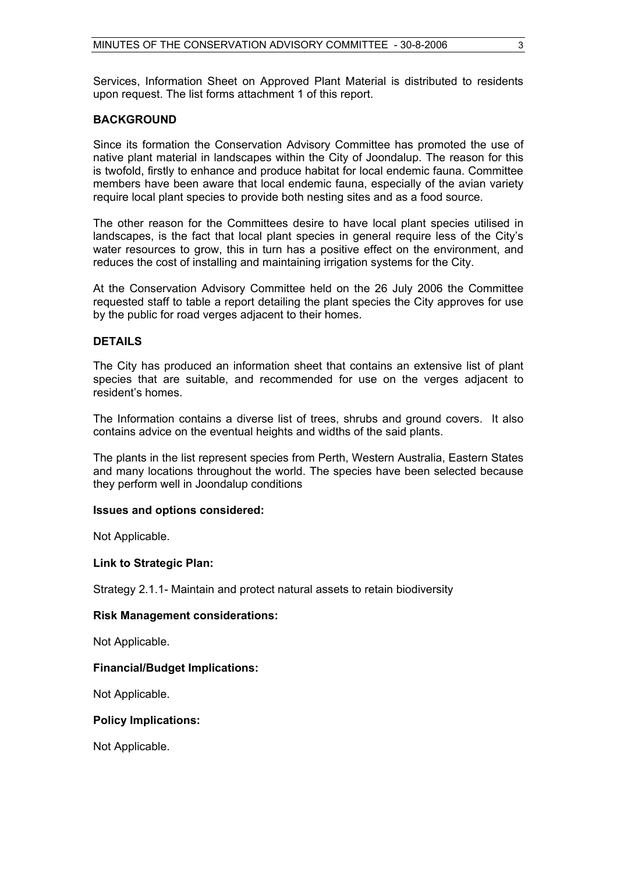Services, Information Sheet on Approved Plant Material is distributed to residents upon request. The list forms attachment 1 of this report.

# **BACKGROUND**

Since its formation the Conservation Advisory Committee has promoted the use of native plant material in landscapes within the City of Joondalup. The reason for this is twofold, firstly to enhance and produce habitat for local endemic fauna. Committee members have been aware that local endemic fauna, especially of the avian variety require local plant species to provide both nesting sites and as a food source.

The other reason for the Committees desire to have local plant species utilised in landscapes, is the fact that local plant species in general require less of the City's water resources to grow, this in turn has a positive effect on the environment, and reduces the cost of installing and maintaining irrigation systems for the City.

At the Conservation Advisory Committee held on the 26 July 2006 the Committee requested staff to table a report detailing the plant species the City approves for use by the public for road verges adjacent to their homes.

# **DETAILS**

The City has produced an information sheet that contains an extensive list of plant species that are suitable, and recommended for use on the verges adjacent to resident's homes.

The Information contains a diverse list of trees, shrubs and ground covers. It also contains advice on the eventual heights and widths of the said plants.

The plants in the list represent species from Perth, Western Australia, Eastern States and many locations throughout the world. The species have been selected because they perform well in Joondalup conditions

#### **Issues and options considered:**

Not Applicable.

#### **Link to Strategic Plan:**

Strategy 2.1.1- Maintain and protect natural assets to retain biodiversity

#### **Risk Management considerations:**

Not Applicable.

# **Financial/Budget Implications:**

Not Applicable.

#### **Policy Implications:**

Not Applicable.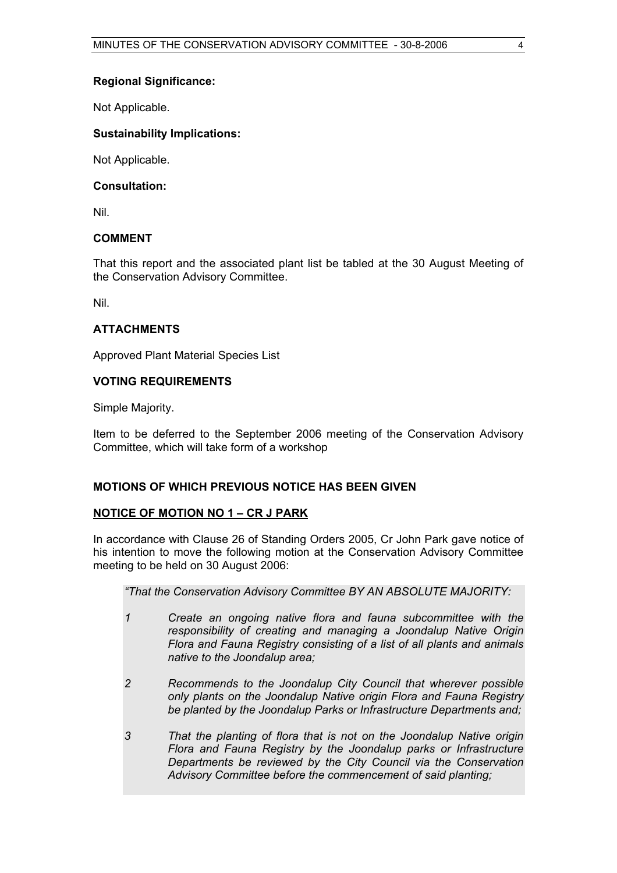# **Regional Significance:**

Not Applicable.

# **Sustainability Implications:**

Not Applicable.

# **Consultation:**

Nil.

# **COMMENT**

That this report and the associated plant list be tabled at the 30 August Meeting of the Conservation Advisory Committee.

Nil.

# **ATTACHMENTS**

Approved Plant Material Species List

# **VOTING REQUIREMENTS**

Simple Majority.

Item to be deferred to the September 2006 meeting of the Conservation Advisory Committee, which will take form of a workshop

# **MOTIONS OF WHICH PREVIOUS NOTICE HAS BEEN GIVEN**

# **NOTICE OF MOTION NO 1 – CR J PARK**

In accordance with Clause 26 of Standing Orders 2005, Cr John Park gave notice of his intention to move the following motion at the Conservation Advisory Committee meeting to be held on 30 August 2006:

*"That the Conservation Advisory Committee BY AN ABSOLUTE MAJORITY:* 

- *1 Create an ongoing native flora and fauna subcommittee with the responsibility of creating and managing a Joondalup Native Origin Flora and Fauna Registry consisting of a list of all plants and animals native to the Joondalup area;*
- *2 Recommends to the Joondalup City Council that wherever possible only plants on the Joondalup Native origin Flora and Fauna Registry be planted by the Joondalup Parks or Infrastructure Departments and;*
- *3 That the planting of flora that is not on the Joondalup Native origin Flora and Fauna Registry by the Joondalup parks or Infrastructure Departments be reviewed by the City Council via the Conservation Advisory Committee before the commencement of said planting;*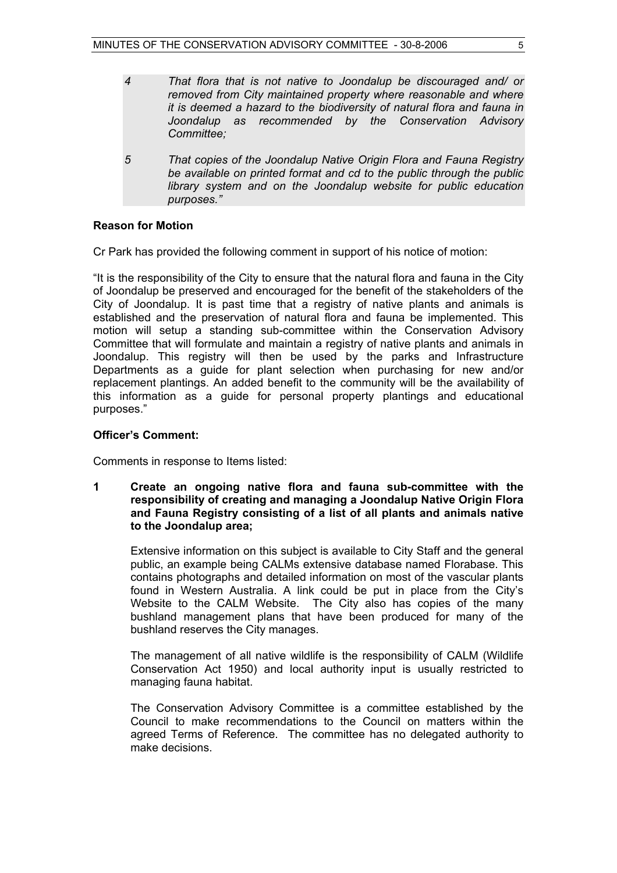- *4 That flora that is not native to Joondalup be discouraged and/ or removed from City maintained property where reasonable and where it is deemed a hazard to the biodiversity of natural flora and fauna in Joondalup as recommended by the Conservation Advisory Committee;*
- *5 That copies of the Joondalup Native Origin Flora and Fauna Registry be available on printed format and cd to the public through the public library system and on the Joondalup website for public education purposes."*

#### **Reason for Motion**

Cr Park has provided the following comment in support of his notice of motion:

"It is the responsibility of the City to ensure that the natural flora and fauna in the City of Joondalup be preserved and encouraged for the benefit of the stakeholders of the City of Joondalup. It is past time that a registry of native plants and animals is established and the preservation of natural flora and fauna be implemented. This motion will setup a standing sub-committee within the Conservation Advisory Committee that will formulate and maintain a registry of native plants and animals in Joondalup. This registry will then be used by the parks and Infrastructure Departments as a guide for plant selection when purchasing for new and/or replacement plantings. An added benefit to the community will be the availability of this information as a guide for personal property plantings and educational purposes."

#### **Officer's Comment:**

Comments in response to Items listed:

**1 Create an ongoing native flora and fauna sub-committee with the responsibility of creating and managing a Joondalup Native Origin Flora and Fauna Registry consisting of a list of all plants and animals native to the Joondalup area;**

Extensive information on this subject is available to City Staff and the general public, an example being CALMs extensive database named Florabase. This contains photographs and detailed information on most of the vascular plants found in Western Australia. A link could be put in place from the City's Website to the CALM Website. The City also has copies of the many bushland management plans that have been produced for many of the bushland reserves the City manages.

The management of all native wildlife is the responsibility of CALM (Wildlife Conservation Act 1950) and local authority input is usually restricted to managing fauna habitat.

The Conservation Advisory Committee is a committee established by the Council to make recommendations to the Council on matters within the agreed Terms of Reference. The committee has no delegated authority to make decisions.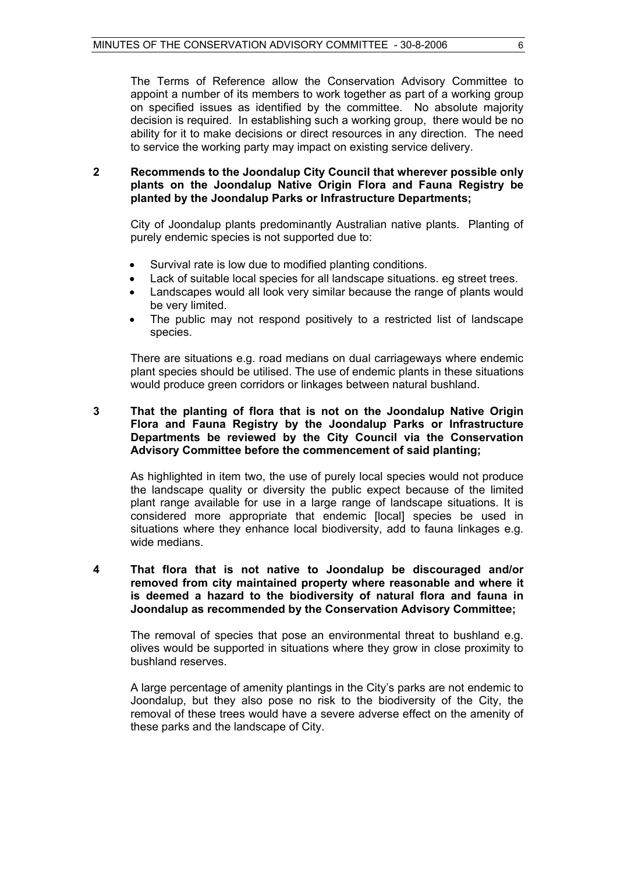The Terms of Reference allow the Conservation Advisory Committee to appoint a number of its members to work together as part of a working group on specified issues as identified by the committee. No absolute majority decision is required. In establishing such a working group, there would be no ability for it to make decisions or direct resources in any direction. The need to service the working party may impact on existing service delivery.

# **2 Recommends to the Joondalup City Council that wherever possible only plants on the Joondalup Native Origin Flora and Fauna Registry be planted by the Joondalup Parks or Infrastructure Departments;**

City of Joondalup plants predominantly Australian native plants. Planting of purely endemic species is not supported due to:

- Survival rate is low due to modified planting conditions.
- Lack of suitable local species for all landscape situations. eg street trees.
- Landscapes would all look very similar because the range of plants would be very limited.
- The public may not respond positively to a restricted list of landscape species.

 There are situations e.g. road medians on dual carriageways where endemic plant species should be utilised. The use of endemic plants in these situations would produce green corridors or linkages between natural bushland.

# **3 That the planting of flora that is not on the Joondalup Native Origin Flora and Fauna Registry by the Joondalup Parks or Infrastructure Departments be reviewed by the City Council via the Conservation Advisory Committee before the commencement of said planting;**

As highlighted in item two, the use of purely local species would not produce the landscape quality or diversity the public expect because of the limited plant range available for use in a large range of landscape situations. It is considered more appropriate that endemic [local] species be used in situations where they enhance local biodiversity, add to fauna linkages e.g. wide medians.

#### **4 That flora that is not native to Joondalup be discouraged and/or removed from city maintained property where reasonable and where it is deemed a hazard to the biodiversity of natural flora and fauna in Joondalup as recommended by the Conservation Advisory Committee;**

The removal of species that pose an environmental threat to bushland e.g. olives would be supported in situations where they grow in close proximity to bushland reserves.

A large percentage of amenity plantings in the City's parks are not endemic to Joondalup, but they also pose no risk to the biodiversity of the City, the removal of these trees would have a severe adverse effect on the amenity of these parks and the landscape of City.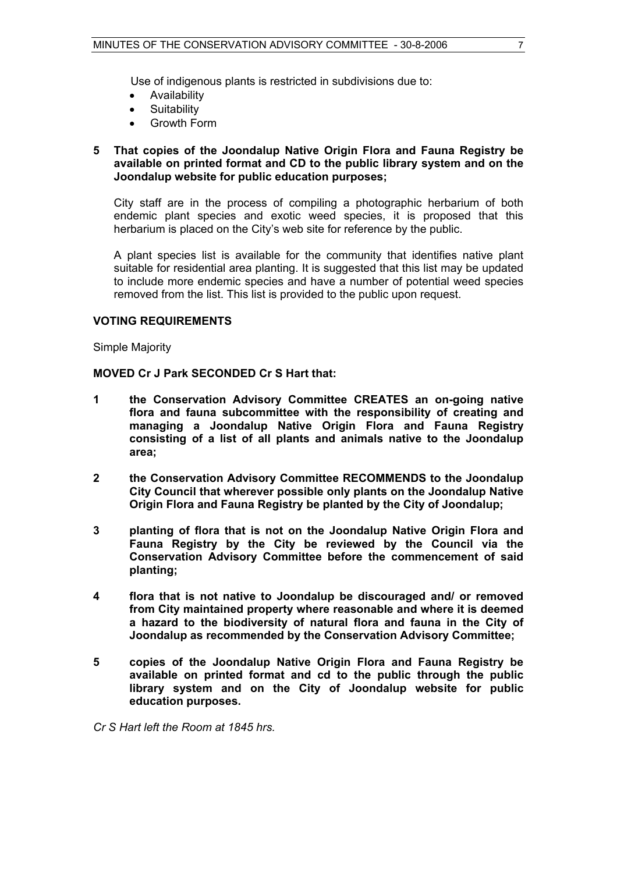Use of indigenous plants is restricted in subdivisions due to:

- Availability
- **Suitability**
- Growth Form

#### **5 That copies of the Joondalup Native Origin Flora and Fauna Registry be available on printed format and CD to the public library system and on the Joondalup website for public education purposes;**

 City staff are in the process of compiling a photographic herbarium of both endemic plant species and exotic weed species, it is proposed that this herbarium is placed on the City's web site for reference by the public.

A plant species list is available for the community that identifies native plant suitable for residential area planting. It is suggested that this list may be updated to include more endemic species and have a number of potential weed species removed from the list. This list is provided to the public upon request.

# **VOTING REQUIREMENTS**

Simple Majority

# **MOVED Cr J Park SECONDED Cr S Hart that:**

- **1 the Conservation Advisory Committee CREATES an on-going native flora and fauna subcommittee with the responsibility of creating and managing a Joondalup Native Origin Flora and Fauna Registry consisting of a list of all plants and animals native to the Joondalup area;**
- **2 the Conservation Advisory Committee RECOMMENDS to the Joondalup City Council that wherever possible only plants on the Joondalup Native Origin Flora and Fauna Registry be planted by the City of Joondalup;**
- **3 planting of flora that is not on the Joondalup Native Origin Flora and Fauna Registry by the City be reviewed by the Council via the Conservation Advisory Committee before the commencement of said planting;**
- **4 flora that is not native to Joondalup be discouraged and/ or removed from City maintained property where reasonable and where it is deemed a hazard to the biodiversity of natural flora and fauna in the City of Joondalup as recommended by the Conservation Advisory Committee;**
- **5 copies of the Joondalup Native Origin Flora and Fauna Registry be available on printed format and cd to the public through the public library system and on the City of Joondalup website for public education purposes.**

*Cr S Hart left the Room at 1845 hrs.*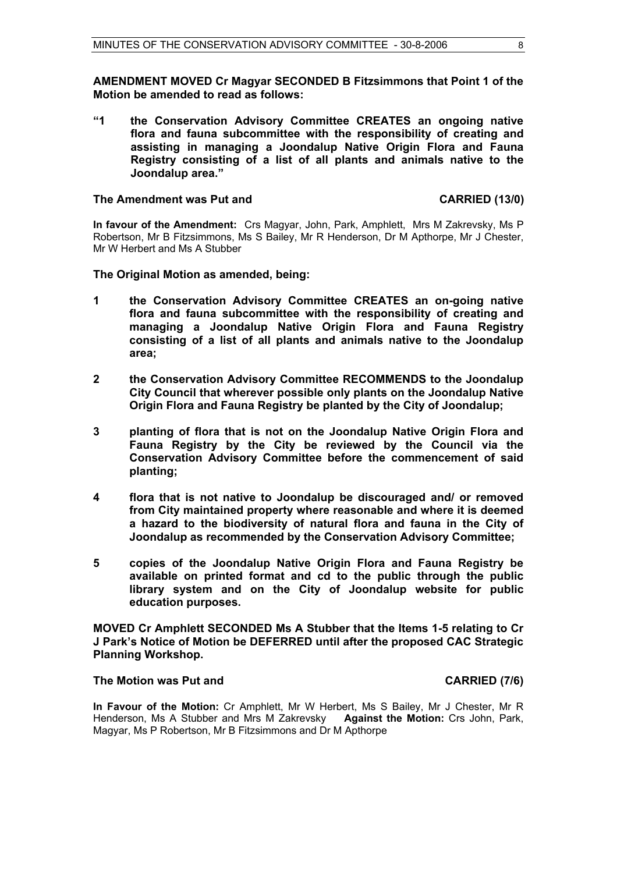**AMENDMENT MOVED Cr Magyar SECONDED B Fitzsimmons that Point 1 of the Motion be amended to read as follows:** 

**"1 the Conservation Advisory Committee CREATES an ongoing native flora and fauna subcommittee with the responsibility of creating and assisting in managing a Joondalup Native Origin Flora and Fauna Registry consisting of a list of all plants and animals native to the Joondalup area."** 

#### The Amendment was Put and **CARRIED** (13/0)

**In favour of the Amendment:** Crs Magyar, John, Park, Amphlett, Mrs M Zakrevsky, Ms P Robertson, Mr B Fitzsimmons, Ms S Bailey, Mr R Henderson, Dr M Apthorpe, Mr J Chester, Mr W Herbert and Ms A Stubber

#### **The Original Motion as amended, being:**

- **1 the Conservation Advisory Committee CREATES an on-going native flora and fauna subcommittee with the responsibility of creating and managing a Joondalup Native Origin Flora and Fauna Registry consisting of a list of all plants and animals native to the Joondalup area;**
- **2 the Conservation Advisory Committee RECOMMENDS to the Joondalup City Council that wherever possible only plants on the Joondalup Native Origin Flora and Fauna Registry be planted by the City of Joondalup;**
- **3 planting of flora that is not on the Joondalup Native Origin Flora and Fauna Registry by the City be reviewed by the Council via the Conservation Advisory Committee before the commencement of said planting;**
- **4 flora that is not native to Joondalup be discouraged and/ or removed from City maintained property where reasonable and where it is deemed a hazard to the biodiversity of natural flora and fauna in the City of Joondalup as recommended by the Conservation Advisory Committee;**
- **5 copies of the Joondalup Native Origin Flora and Fauna Registry be available on printed format and cd to the public through the public library system and on the City of Joondalup website for public education purposes.**

**MOVED Cr Amphlett SECONDED Ms A Stubber that the Items 1-5 relating to Cr J Park's Notice of Motion be DEFERRED until after the proposed CAC Strategic Planning Workshop.** 

#### **The Motion was Put and CARRIED (7/6) CARRIED** (7/6)

**In Favour of the Motion:** Cr Amphlett, Mr W Herbert, Ms S Bailey, Mr J Chester, Mr R Henderson, Ms A Stubber and Mrs M Zakrevsky **Against the Motion:** Crs John, Park, Magyar, Ms P Robertson, Mr B Fitzsimmons and Dr M Apthorpe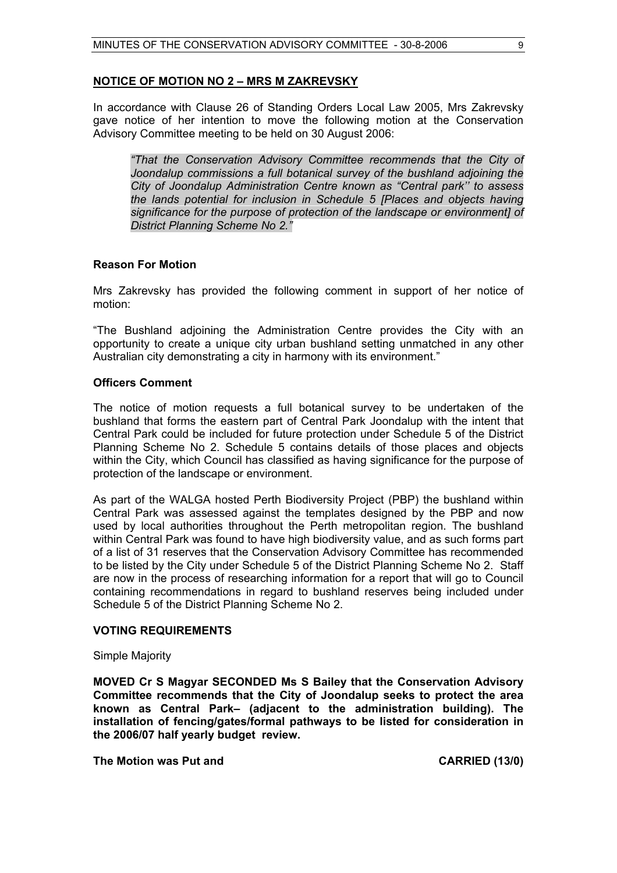# **NOTICE OF MOTION NO 2 – MRS M ZAKREVSKY**

In accordance with Clause 26 of Standing Orders Local Law 2005, Mrs Zakrevsky gave notice of her intention to move the following motion at the Conservation Advisory Committee meeting to be held on 30 August 2006:

*"That the Conservation Advisory Committee recommends that the City of Joondalup commissions a full botanical survey of the bushland adjoining the City of Joondalup Administration Centre known as "Central park'' to assess the lands potential for inclusion in Schedule 5 [Places and objects having significance for the purpose of protection of the landscape or environment] of District Planning Scheme No 2."*

# **Reason For Motion**

Mrs Zakrevsky has provided the following comment in support of her notice of motion:

"The Bushland adjoining the Administration Centre provides the City with an opportunity to create a unique city urban bushland setting unmatched in any other Australian city demonstrating a city in harmony with its environment."

# **Officers Comment**

The notice of motion requests a full botanical survey to be undertaken of the bushland that forms the eastern part of Central Park Joondalup with the intent that Central Park could be included for future protection under Schedule 5 of the District Planning Scheme No 2. Schedule 5 contains details of those places and objects within the City, which Council has classified as having significance for the purpose of protection of the landscape or environment.

As part of the WALGA hosted Perth Biodiversity Project (PBP) the bushland within Central Park was assessed against the templates designed by the PBP and now used by local authorities throughout the Perth metropolitan region. The bushland within Central Park was found to have high biodiversity value, and as such forms part of a list of 31 reserves that the Conservation Advisory Committee has recommended to be listed by the City under Schedule 5 of the District Planning Scheme No 2. Staff are now in the process of researching information for a report that will go to Council containing recommendations in regard to bushland reserves being included under Schedule 5 of the District Planning Scheme No 2.

#### **VOTING REQUIREMENTS**

Simple Majority

**MOVED Cr S Magyar SECONDED Ms S Bailey that the Conservation Advisory Committee recommends that the City of Joondalup seeks to protect the area known as Central Park– (adjacent to the administration building). The installation of fencing/gates/formal pathways to be listed for consideration in the 2006/07 half yearly budget review.** 

**The Motion was Put and CARRIED (13/0)**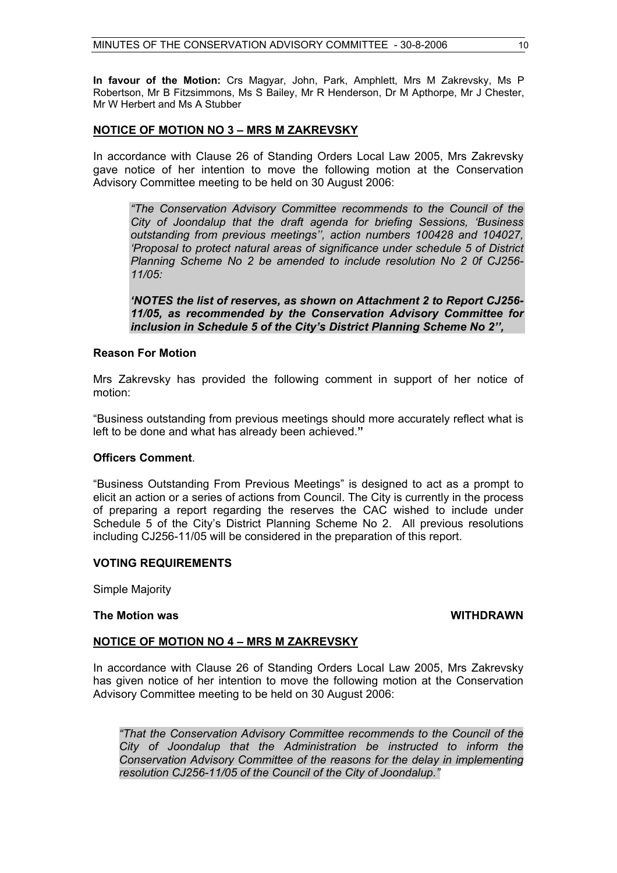**In favour of the Motion:** Crs Magyar, John, Park, Amphlett, Mrs M Zakrevsky, Ms P Robertson, Mr B Fitzsimmons, Ms S Bailey, Mr R Henderson, Dr M Apthorpe, Mr J Chester, Mr W Herbert and Ms A Stubber

# **NOTICE OF MOTION NO 3 – MRS M ZAKREVSKY**

In accordance with Clause 26 of Standing Orders Local Law 2005, Mrs Zakrevsky gave notice of her intention to move the following motion at the Conservation Advisory Committee meeting to be held on 30 August 2006:

*"The Conservation Advisory Committee recommends to the Council of the City of Joondalup that the draft agenda for briefing Sessions, 'Business outstanding from previous meetings'', action numbers 100428 and 104027, 'Proposal to protect natural areas of significance under schedule 5 of District Planning Scheme No 2 be amended to include resolution No 2 0f CJ256- 11/05:* 

*'NOTES the list of reserves, as shown on Attachment 2 to Report CJ256- 11/05, as recommended by the Conservation Advisory Committee for inclusion in Schedule 5 of the City's District Planning Scheme No 2'',* 

# **Reason For Motion**

Mrs Zakrevsky has provided the following comment in support of her notice of motion:

"Business outstanding from previous meetings should more accurately reflect what is left to be done and what has already been achieved.**"**

#### **Officers Comment**.

"Business Outstanding From Previous Meetings" is designed to act as a prompt to elicit an action or a series of actions from Council. The City is currently in the process of preparing a report regarding the reserves the CAC wished to include under Schedule 5 of the City's District Planning Scheme No 2. All previous resolutions including CJ256-11/05 will be considered in the preparation of this report.

# **VOTING REQUIREMENTS**

Simple Majority

#### **The Motion was WITHDRAWN**

#### **NOTICE OF MOTION NO 4 – MRS M ZAKREVSKY**

In accordance with Clause 26 of Standing Orders Local Law 2005, Mrs Zakrevsky has given notice of her intention to move the following motion at the Conservation Advisory Committee meeting to be held on 30 August 2006:

*"That the Conservation Advisory Committee recommends to the Council of the City of Joondalup that the Administration be instructed to inform the Conservation Advisory Committee of the reasons for the delay in implementing resolution CJ256-11/05 of the Council of the City of Joondalup."*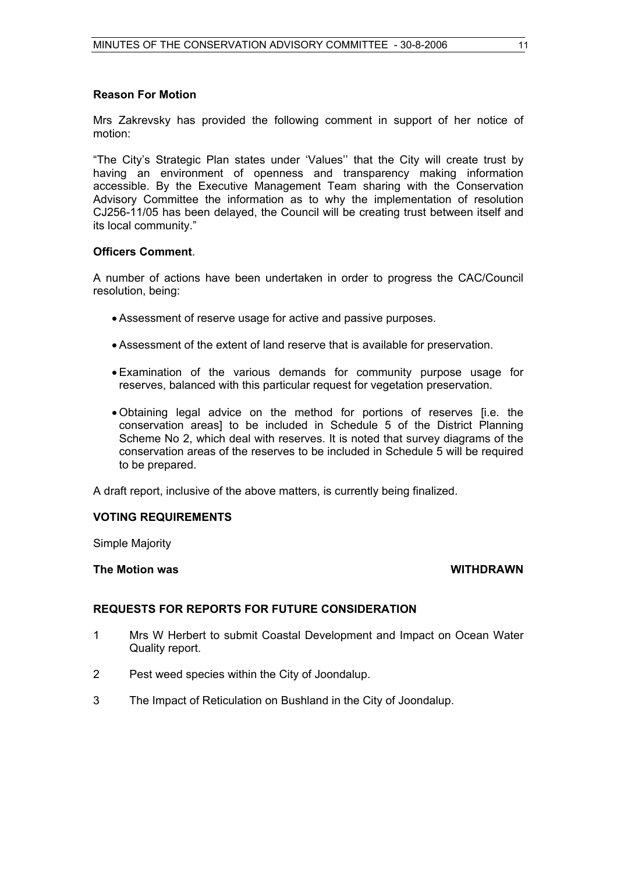# **Reason For Motion**

Mrs Zakrevsky has provided the following comment in support of her notice of motion:

"The City's Strategic Plan states under 'Values'' that the City will create trust by having an environment of openness and transparency making information accessible. By the Executive Management Team sharing with the Conservation Advisory Committee the information as to why the implementation of resolution CJ256-11/05 has been delayed, the Council will be creating trust between itself and its local community."

# **Officers Comment**.

A number of actions have been undertaken in order to progress the CAC/Council resolution, being:

- Assessment of reserve usage for active and passive purposes.
- Assessment of the extent of land reserve that is available for preservation.
- Examination of the various demands for community purpose usage for reserves, balanced with this particular request for vegetation preservation.
- Obtaining legal advice on the method for portions of reserves [i.e. the conservation areas] to be included in Schedule 5 of the District Planning Scheme No 2, which deal with reserves. It is noted that survey diagrams of the conservation areas of the reserves to be included in Schedule 5 will be required to be prepared.

A draft report, inclusive of the above matters, is currently being finalized.

# **VOTING REQUIREMENTS**

Simple Majority

# **The Motion was WITHDRAWN**

# **REQUESTS FOR REPORTS FOR FUTURE CONSIDERATION**

- 1 Mrs W Herbert to submit Coastal Development and Impact on Ocean Water Quality report.
- 2 Pest weed species within the City of Joondalup.
- 3 The Impact of Reticulation on Bushland in the City of Joondalup.